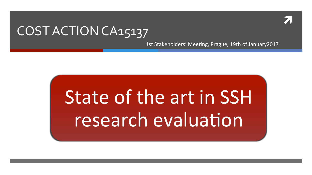

### COST ACTION CA15137

1st Stakeholders' Meeting, Prague, 19th of January2017

# State of the art in SSH research evaluation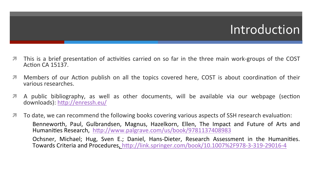### Introduction

- $\blacktriangledown$  This is a brief presentation of activities carried on so far in the three main work-groups of the COST Action CA 15137.
- **7** Members of our Action publish on all the topics covered here, COST is about coordination of their various researches.
- **I** A public bibliography, as well as other documents, will be available via our webpage (section downloads): http://enressh.eu/
- $\blacktriangledown$  To date, we can recommend the following books covering various aspects of SSH research evaluation: Benneworth, Paul, Gulbrandsen, Magnus, Hazelkorn, Ellen, The Impact and Future of Arts and Humanities Research, http://www.palgrave.com/us/book/9781137408983 Ochsner, Michael; Hug, Sven E.; Daniel, Hans-Dieter, Research Assessment in the Humanities. Towards Criteria and Procedures, http://link.springer.com/book/10.1007%2F978-3-319-29016-4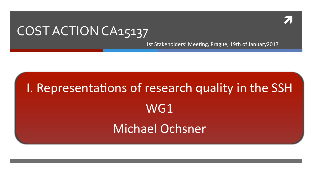

### COST ACTION CA15137

1st Stakeholders' Meeting, Prague, 19th of January2017

# I. Representations of research quality in the SSH WG1 Michael Ochsner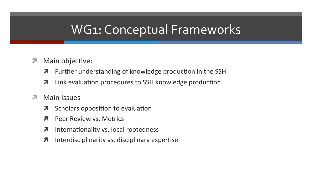# WG1: Conceptual Frameworks

- Main objective:  $\overline{\phantom{a}}$ 
	- Further understanding of knowledge production in the SSH 7
	- Link evaluation procedures to SSH knowledge production 7
- Main Issues  $\overline{\mathbf{z}}$ 
	- Scholars opposition to evaluation 7
	- **Peer Review vs. Metrics**
	- Internationality vs. local rootedness 7
	- Interdisciplinarity vs. disciplinary expertise 7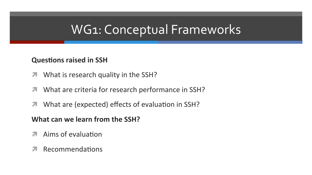### **WG1: Conceptual Frameworks**

#### **Questions raised in SSH**

- What is research quality in the SSH?  $\overline{\phantom{a}}$
- What are criteria for research performance in SSH?  $\overline{\phantom{a}}$
- What are (expected) effects of evaluation in SSH? 7

#### What can we learn from the SSH?

- Aims of evaluation 7
- Recommendations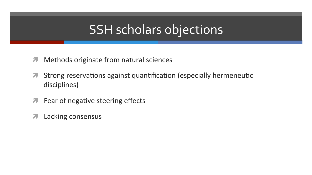### **SSH scholars objections**

- Methods originate from natural sciences  $\overline{\mathcal{A}}$
- Strong reservations against quantification (especially hermeneutic  $\overline{\phantom{a}}$ disciplines)
- Fear of negative steering effects  $\overline{\phantom{a}}$
- Lacking consensus 7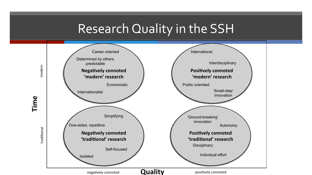### Research Quality in the SSH

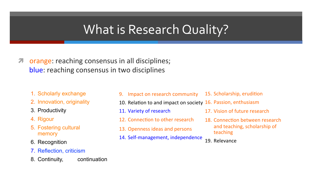### What is Research Quality?

- *A* orange: reaching consensus in all disciplines; blue: reaching consensus in two disciplines
	- 1. Scholarly exchange
	- 2. Innovation, originality
	- 3. Productivity
	- 4. Rigour
	- 5. Fostering cultural memory
	- 6. Recognition
	- 7. Reflection, criticism
	- 8. Continuity, continuation
- 9. Impact on research community
- 15. Scholarship, erudition
- 10. Relation to and impact on society 16. Passion, enthusiasm
- 11. Variety of research
- 12. Connection to other research
- 13. Openness ideas and persons
- 14. Self-management, independence
- 17. Vision of future research
- 18. Connection between research and teaching, scholarship of teaching
- 19. Relevance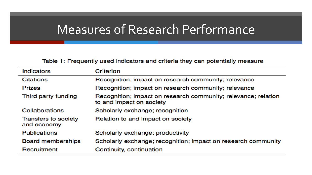### Measures of Research Performance

Table 1: Frequently used indicators and criteria they can potentially measure

| <b>Indicators</b>                   | Criterion                                                                                  |
|-------------------------------------|--------------------------------------------------------------------------------------------|
| <b>Citations</b>                    | Recognition; impact on research community; relevance                                       |
| <b>Prizes</b>                       | Recognition; impact on research community; relevance                                       |
| Third party funding                 | Recognition; impact on research community; relevance; relation<br>to and impact on society |
| Collaborations                      | Scholarly exchange; recognition                                                            |
| Transfers to society<br>and economy | Relation to and impact on society                                                          |
| <b>Publications</b>                 | Scholarly exchange; productivity                                                           |
| <b>Board memberships</b>            | Scholarly exchange; recognition; impact on research community                              |
| Recruitment                         | Continuity, continuation                                                                   |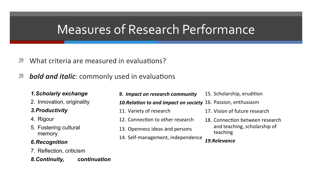## Measures of Research Performance

- $\blacktriangledown$  What criteria are measured in evaluations?
- *A* bold and italic: commonly used in evaluations

#### *1.Scholarly exchange*

2. Innovation, originality

#### *3.Productivity*

- 4. Rigour
- 5. Fostering cultural memory

#### *6.Recognition*

7. Reflection, criticism

#### *8.Continuity, continuation*

**9.** Impact on research community

10. Relation to and impact on society 16. Passion, enthusiasm

- 11. Variety of research
- 12. Connection to other research
- 13. Openness ideas and persons
- 14. Self-management, independence

15. Scholarship, erudition

17. Vision of future research

18. Connection between research and teaching, scholarship of teaching 

#### *19.Relevance*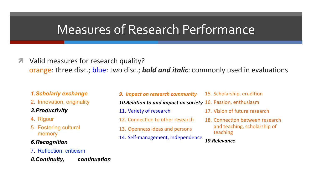### Measures of Research Performance

*A* Valid measures for research quality?

orange: three disc.; blue: two disc.; **bold and italic**: commonly used in evaluations

#### *1.Scholarly exchange*

2. Innovation, originality

#### *3.Productivity*

- 4. Rigour
- 5. Fostering cultural memory

#### *6.Recognition*

7. Reflection, criticism

*8.Continuity, continuation* 

#### **9. Impact on research community**

15. Scholarship, erudition

10. Relation to and impact on society 16. Passion, enthusiasm

- 11. Variety of research
- 12. Connection to other research
- 13. Openness ideas and persons
- 14. Self-management, independence
- 17 Vision of future research
- 18. Connection between research and teaching, scholarship of teaching

#### *19.Relevance*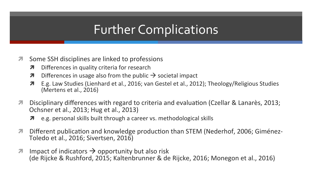# **Further Complications**

- Some SSH disciplines are linked to professions  $\overline{\mathcal{A}}$ 
	- Differences in quality criteria for research  $\overline{\boldsymbol{\pi}}$
	- Differences in usage also from the public  $\rightarrow$  societal impact  $\overline{\boldsymbol{\pi}}$
	- E.g. Law Studies (Lienhard et al., 2016; van Gestel et al., 2012); Theology/Religious Studies  $\overline{\boldsymbol{\pi}}$ (Mertens et al., 2016)
- Disciplinary differences with regard to criteria and evaluation (Czellar & Lanarès, 2013;  $\overline{\mathbf{z}}$ Ochsner et al., 2013; Hug et al., 2013)
	- **7** e.g. personal skills built through a career vs. methodological skills
- Different publication and knowledge production than STEM (Nederhof, 2006; Giménez- $\overline{\phantom{a}}$ Toledo et al., 2016; Sivertsen, 2016)
- Impact of indicators  $\rightarrow$  opportunity but also risk  $\overline{\mathbf{z}}$ (de Rijcke & Rushford, 2015; Kaltenbrunner & de Rijcke, 2016; Monegon et al., 2016)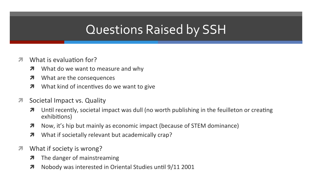# **Questions Raised by SSH**

- What is evaluation for? 21
	- What do we want to measure and why  $\overline{\boldsymbol{\lambda}}$
	- What are the consequences  $\overline{\boldsymbol{\pi}}$
	- What kind of incentives do we want to give  $\overline{\boldsymbol{\pi}}$
- Societal Impact vs. Quality  $\overline{\mathcal{L}}$ 
	- Until recently, societal impact was dull (no worth publishing in the feuilleton or creating 7 exhibitions)
	- Now, it's hip but mainly as economic impact (because of STEM dominance)  $\overline{\boldsymbol{\pi}}$
	- What if societally relevant but academically crap?  $\overline{\boldsymbol{\pi}}$
- What if society is wrong?  $\overline{\phantom{a}}$ 
	- The danger of mainstreaming  $\overline{\boldsymbol{\lambda}}$
	- Nobody was interested in Oriental Studies until 9/11 2001 7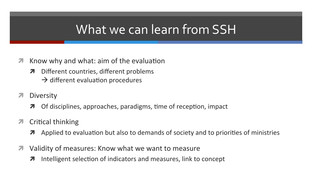### What we can learn from SSH

- Know why and what: aim of the evaluation  $\overline{\phantom{a}}$ 
	- Different countries, different problems  $\overline{\boldsymbol{v}}$  $\rightarrow$  different evaluation procedures
		-
- Diversity  $\overline{\mathbf{z}}$ 
	- Of disciplines, approaches, paradigms, time of reception, impact  $\boldsymbol{\pi}$
- **Critical thinking**  $\overline{\mathbf{z}}$ 
	- Applied to evaluation but also to demands of society and to priorities of ministries  $\overline{\boldsymbol{\pi}}$
- Validity of measures: Know what we want to measure  $\overline{\phantom{a}}$ 
	- Intelligent selection of indicators and measures, link to concept  $\boldsymbol{\pi}$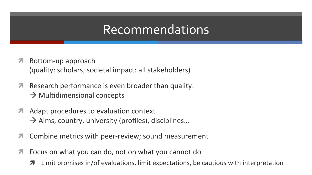### Recommendations

- Bottom-up approach  $\overline{\phantom{a}}$ (quality: scholars; societal impact: all stakeholders)
- Research performance is even broader than quality:  $\overline{\mathbf{z}}$  $\rightarrow$  Multidimensional concepts
- Adapt procedures to evaluation context  $\overline{\phantom{a}}$  $\rightarrow$  Aims, country, university (profiles), disciplines...
- Combine metrics with peer-review; sound measurement 7
- Focus on what you can do, not on what you cannot do  $\overline{\mathcal{A}}$ 
	- Limit promises in/of evaluations, limit expectations, be cautious with interpretation 7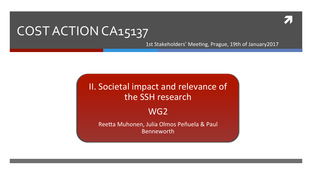### COST ACTION CA15137

1st Stakeholders' Meeting, Prague, 19th of January2017

II. Societal impact and relevance of the SSH research

WG<sub>2</sub>

Reetta Muhonen, Julia Olmos Peñuela & Paul Benneworth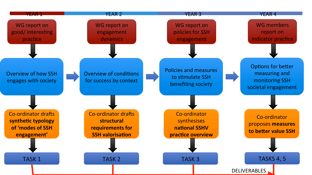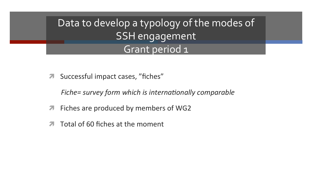Data to develop a typology of the modes of **SSH** engagement Grant period 1

Successful impact cases, "fiches"  $\overline{\phantom{a}}$ 

Fiche= survey form which is internationally comparable

- Fiches are produced by members of WG2  $\overline{\phantom{a}}$
- Total of 60 fiches at the moment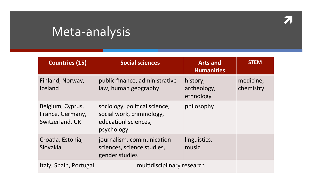#### 7

# Meta-analysis

| <b>Countries (15)</b>                                   | <b>Social sciences</b>                                                                           | <b>Arts and</b><br><b>Humanities</b> | <b>STEM</b>            |
|---------------------------------------------------------|--------------------------------------------------------------------------------------------------|--------------------------------------|------------------------|
| Finland, Norway,<br>Iceland                             | public finance, administrative<br>law, human geography                                           | history,<br>archeology,<br>ethnology | medicine,<br>chemistry |
| Belgium, Cyprus,<br>France, Germany,<br>Switzerland, UK | sociology, political science,<br>social work, criminology,<br>educationl sciences,<br>psychology | philosophy                           |                        |
| Croatia, Estonia,<br>Slovakia                           | journalism, communication<br>sciences, science studies,<br>gender studies                        | linguistics,<br>music                |                        |
| Italy, Spain, Portugal                                  | multidisciplinary research                                                                       |                                      |                        |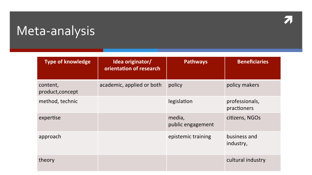# Meta-analysis

| <b>Type of knowledge</b>     | Idea originator/<br>orientation of research | <b>Pathways</b>             | <b>Beneficiaries</b>          |
|------------------------------|---------------------------------------------|-----------------------------|-------------------------------|
| content,<br>product, concept | academic, applied or both                   | policy                      | policy makers                 |
| method, technic              |                                             | legislation                 | professionals,<br>practioners |
| expertise                    |                                             | media,<br>public engagement | citizens, NGOs                |
| approach                     |                                             | epistemic training          | business and<br>industry,     |
| theory                       |                                             |                             | cultural industry             |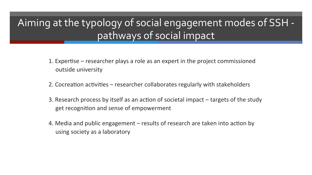#### Aiming at the typology of social engagement modes of SSH pathways of social impact

- 1. Expertise  $-$  researcher plays a role as an expert in the project commissioned outside university
- 2. Cocreation activities researcher collaborates regularly with stakeholders
- 3. Research process by itself as an action of societal impact targets of the study get recognition and sense of empowerment
- 4. Media and public engagement results of research are taken into action by using society as a laboratory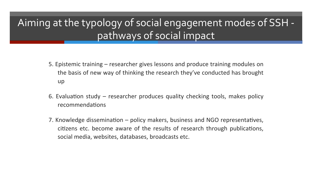#### Aiming at the typology of social engagement modes of SSH pathways of social impact

- 5. Epistemic training researcher gives lessons and produce training modules on the basis of new way of thinking the research they've conducted has brought up
- 6. Evaluation study  $-$  researcher produces quality checking tools, makes policy recommendations
- 7. Knowledge dissemination policy makers, business and NGO representatives, citizens etc. become aware of the results of research through publications, social media, websites, databases, broadcasts etc.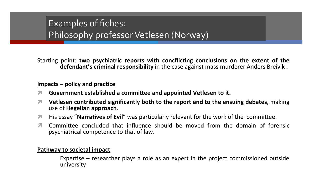#### Examples of fiches: Philosophy professor Vetlesen (Norway)

Starting point: two psychiatric reports with concflicting conclusions on the extent of the defendant's criminal responsibility in the case against mass murderer Anders Breivik.

#### $Impacts - policy and practice$

- Government established a committee and appointed Vetlesen to it. 7
- Vetlesen contributed significantly both to the report and to the ensuing debates, making use of Hegelian approach.
- His essay "**Narratives of Evil**" was particularly relevant for the work of the committee. 7
- Committee concluded that influence should be moved from the domain of forensic  $\mathbf{z}$ psychiatrical competence to that of law.

#### **Pathway to societal impact**

Expertise – researcher plays a role as an expert in the project commissioned outside university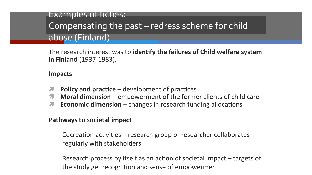#### **Examples of fiches:** Compensating the past – redress scheme for child abuse (Finland)

The research interest was to identify the failures of Child welfare system in Finland (1937-1983).

#### <u>Impacts</u>

- **Policy and practice**  $-$  development of practices  $\overline{\phantom{a}}$
- Moral dimension empowerment of the former clients of child care 7
- **Economic dimension** changes in research funding allocations  $\overline{\mathbf{z}}$

#### **Pathways to societal impact**

Cocreation activities – research group or researcher collaborates regularly with stakeholders

Research process by itself as an action of societal impact – targets of the study get recognition and sense of empowerment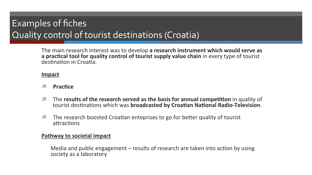#### Examples of fiches Quality control of tourist destinations (Croatia)

The main research interest was to develop a research instrument which would serve as a practical tool for quality control of tourist supply value chain in every type of tourist destination in Croatia.

#### Impact

- 7 **Practice**
- The results of the research served as the basis for annual competition in quality of  $\overline{\phantom{a}}$ tourist destinations which was broadcasted by Croatian National Radio-Television.
- The research boosted Croatian enteprises to go for better quality of tourist  $\overline{\mathbf{z}}$ attractions

#### Pathway to societal impact

Media and public engagement  $-$  results of research are taken into action by using society as a laboratory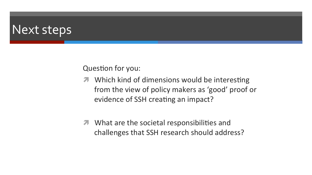### **Next steps**

Question for you:

- Which kind of dimensions would be interesting  $\overline{\phantom{a}}$ from the view of policy makers as 'good' proof or evidence of SSH creating an impact?
- **7** What are the societal responsibilities and challenges that SSH research should address?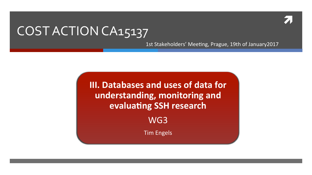### COST ACTION CA15137

1st Stakeholders' Meeting, Prague, 19th of January2017

III. Databases and uses of data for understanding, monitoring and evaluating SSH research WG3

**Tim Engels**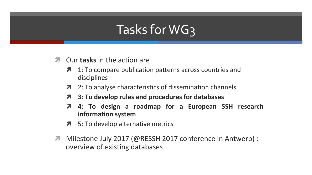# Tasks for WG3

- Our **tasks** in the action are 7
	- 1: To compare publication patterns across countries and  $\overline{\phantom{a}}$ disciplines
	- 2: To analyse characteristics of dissemination channels  $\overline{\phantom{a}}$
	- 3: To develop rules and procedures for databases  $\boldsymbol{\pi}$
	- 4: To design a roadmap for a European SSH research  $\overline{\boldsymbol{\pi}}$ information system
	- 5: To develop alternative metrics
- Milestone July 2017 (@RESSH 2017 conference in Antwerp) : overview of existing databases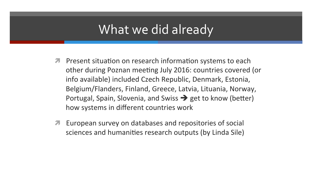### What we did already

- *A* Present situation on research information systems to each other during Poznan meeting July 2016: countries covered (or info available) included Czech Republic, Denmark, Estonia, Belgium/Flanders, Finland, Greece, Latvia, Lituania, Norway, Portugal, Spain, Slovenia, and Swiss  $\rightarrow$  get to know (better) how systems in different countries work
- European survey on databases and repositories of social sciences and humanities research outputs (by Linda Sile)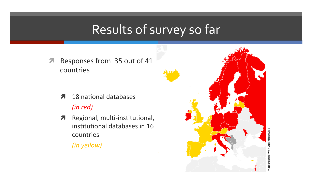# Results of survey so far

Responses from 35 out of 41  $\overline{\phantom{a}}$ countries

- 18 national databases 7  $(inred)$
- Regional, multi-institutional,  $7<sup>1</sup>$ institutional databases in 16 countries
	- (in yellow)